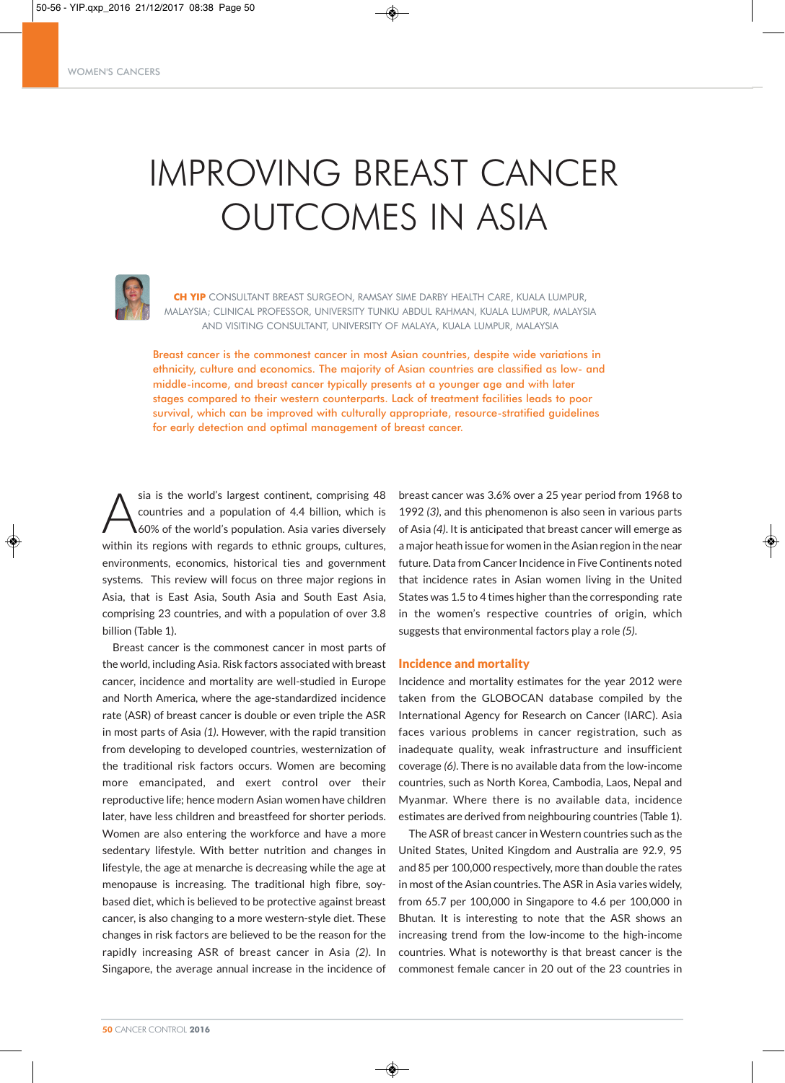# IMPROVING BREAST CANCER OUTCOMES IN ASIA



**CH YIP** CONSULTANT BREAST SURGEON, RAMSAY SIME DARBY HEALTH CARE, KUALA LUMPUR, MALAYSIA; CLINICAL PROFESSOR, UNIVERSITY TUNKU ABDUL RAHMAN, KUALA LUMPUR, MALAYSIA AND VISITING CONSULTANT, UNIVERSITY OF MALAYA, KUALA LUMPUR, MALAYSIA

Breast cancer is the commonest cancer in most Asian countries, despite wide variations in ethnicity, culture and economics. The majority of Asian countries are classified as low- and middle-income, and breast cancer typically presents at a younger age and with later stages compared to their western counterparts. Lack of treatment facilities leads to poor survival, which can be improved with culturally appropriate, resource-stratified guidelines for early detection and optimal management of breast cancer.

◈

sia is the world's largest continent, comprising 48 countries and a population of 4.4 billion, which is 60% of the world's population. Asia varies diversely within its regions with regards to ethnic groups, cultures, environments, economics, historical ties and government systems. This review will focus on three major regions in Asia, that is East Asia, South Asia and South East Asia, comprising 23 countries, and with a population of over 3.8 billion (Table 1).

Breast cancer is the commonest cancer in most parts of the world, including Asia. Risk factors associated with breast cancer, incidence and mortality are well-studied in Europe and North America, where the age-standardized incidence rate (ASR) of breast cancer is double or even triple the ASR in most parts of Asia *(1)*. However, with the rapid transition from developing to developed countries, westernization of the traditional risk factors occurs. Women are becoming more emancipated, and exert control over their reproductive life; hence modern Asian women have children later, have less children and breastfeed for shorter periods. Women are also entering the workforce and have a more sedentary lifestyle. With better nutrition and changes in lifestyle, the age at menarche is decreasing while the age at menopause is increasing. The traditional high fibre, soybased diet, which is believed to be protective against breast cancer, is also changing to a more western-style diet. These changes in risk factors are believed to be the reason for the rapidly increasing ASR of breast cancer in Asia *(2)*. In Singapore, the average annual increase in the incidence of

breast cancer was 3.6% over a 25 year period from 1968 to 1992 *(3)*, and this phenomenon is also seen in various parts of Asia *(4)*. It is anticipated that breast cancer will emerge as a major heath issue for women in the Asian region in the near future. Data from Cancer Incidence in Five Continents noted that incidence rates in Asian women living in the United States was 1.5 to 4 times higher than the corresponding rate in the women's respective countries of origin, which suggests that environmental factors play a role *(5)*.

## Incidence and mortality

Incidence and mortality estimates for the year 2012 were taken from the GLOBOCAN database compiled by the International Agency for Research on Cancer (IARC). Asia faces various problems in cancer registration, such as inadequate quality, weak infrastructure and insufficient coverage *(6)*. There is no available data from the low-income countries, such as North Korea, Cambodia, Laos, Nepal and Myanmar. Where there is no available data, incidence estimates are derived from neighbouring countries (Table 1).

The ASR of breast cancer in Western countries such as the United States, United Kingdom and Australia are 92.9, 95 and 85 per 100,000 respectively, more than double the rates in most of the Asian countries. The ASR in Asia varies widely, from 65.7 per 100,000 in Singapore to 4.6 per 100,000 in Bhutan. It is interesting to note that the ASR shows an increasing trend from the low-income to the high-income countries. What is noteworthy is that breast cancer is the commonest female cancer in 20 out of the 23 countries in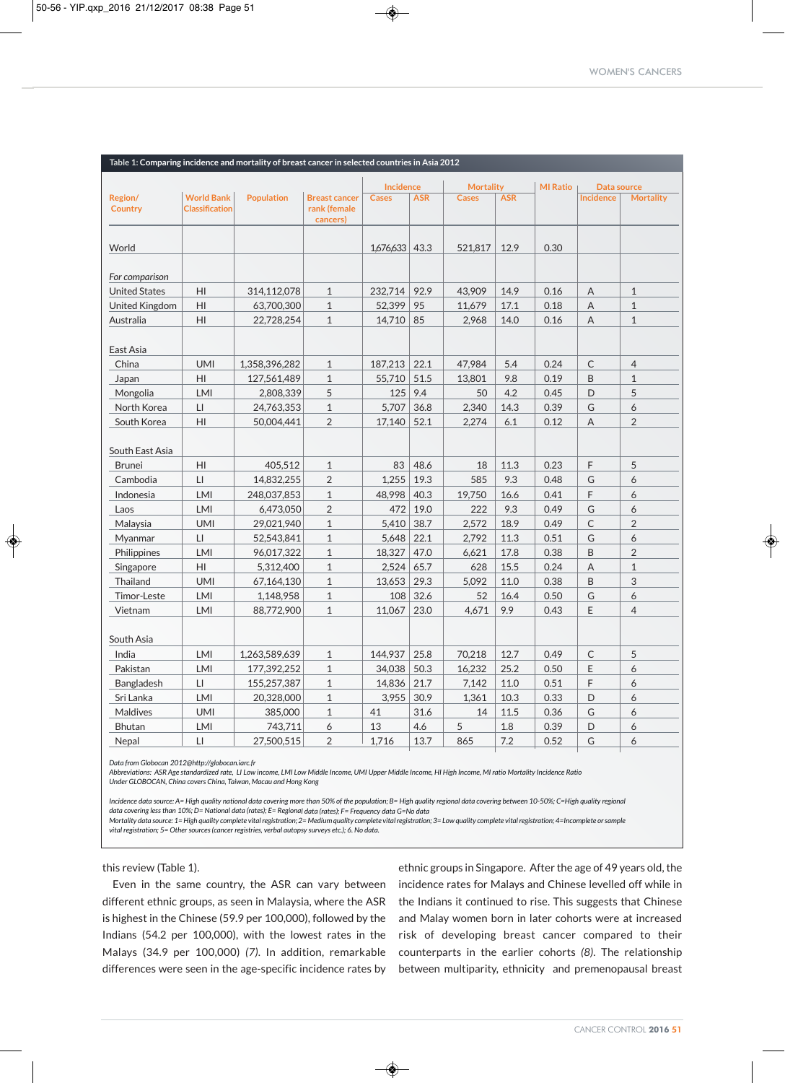| Table 1: Comparing incidence and mortality of breast cancer in selected countries in Asia 2012 |                                            |                   |                                                  |                |            |                  |            |                 |                  |                  |
|------------------------------------------------------------------------------------------------|--------------------------------------------|-------------------|--------------------------------------------------|----------------|------------|------------------|------------|-----------------|------------------|------------------|
|                                                                                                |                                            |                   |                                                  | Incidence      |            | <b>Mortality</b> |            | <b>MI Ratio</b> | Data source      |                  |
| Region/<br><b>Country</b>                                                                      | <b>World Bank</b><br><b>Classification</b> | <b>Population</b> | <b>Breast cancer</b><br>rank (female<br>cancers) | <b>Cases</b>   | <b>ASR</b> | <b>Cases</b>     | <b>ASR</b> |                 | <b>Incidence</b> | <b>Mortality</b> |
| World                                                                                          |                                            |                   |                                                  | 1,676,633 43.3 |            | 521,817          | 12.9       | 0.30            |                  |                  |
| For comparison                                                                                 |                                            |                   |                                                  |                |            |                  |            |                 |                  |                  |
| <b>United States</b>                                                                           | HI                                         | 314,112,078       | $\mathbf{1}$                                     | 232,714        | 92.9       | 43,909           | 14.9       | 0.16            | A                | $\mathbf{1}$     |
| United Kingdom                                                                                 | HI                                         | 63,700,300        | $\mathbf{1}$                                     | 52,399         | 95         | 11,679           | 17.1       | 0.18            | A                | $\mathbf{1}$     |
| Australia                                                                                      | HI                                         | 22,728,254        | $\mathbf{1}$                                     | 14,710         | 85         | 2,968            | 14.0       | 0.16            | Α                | $\mathbf{1}$     |
| East Asia                                                                                      |                                            |                   |                                                  |                |            |                  |            |                 |                  |                  |
| China                                                                                          | <b>UMI</b>                                 | 1,358,396,282     | $\mathbf{1}$                                     | 187,213        | 22.1       | 47,984           | 5.4        | 0.24            | C                | $\overline{4}$   |
| Japan                                                                                          | HI                                         | 127,561,489       | $\mathbf{1}$                                     | 55,710         | 51.5       | 13,801           | 9.8        | 0.19            | B                | $\mathbf{1}$     |
| Mongolia                                                                                       | LMI                                        | 2,808,339         | 5                                                | 125            | 9.4        | 50               | 4.2        | 0.45            | D                | 5                |
| North Korea                                                                                    | $\mathsf{L}\mathsf{I}$                     | 24,763,353        | $\mathbf{1}$                                     | 5,707          | 36.8       | 2,340            | 14.3       | 0.39            | G                | 6                |
| South Korea                                                                                    | $\mathsf{H}\mathsf{I}$                     | 50,004,441        | $\overline{2}$                                   | 17,140         | 52.1       | 2,274            | 6.1        | 0.12            | A                | $\overline{2}$   |
| South East Asia                                                                                |                                            |                   |                                                  |                |            |                  |            |                 |                  |                  |
| <b>Brunei</b>                                                                                  | HI                                         | 405,512           | $\mathbf{1}$                                     | 83             | 48.6       | 18               | 11.3       | 0.23            | F                | 5                |
| Cambodia                                                                                       | LI                                         | 14,832,255        | $\overline{2}$                                   | 1,255          | 19.3       | 585              | 9.3        | 0.48            | G                | 6                |
| Indonesia                                                                                      | LMI                                        | 248,037,853       | $\mathbf{1}$                                     | 48,998         | 40.3       | 19,750           | 16.6       | 0.41            | F                | 6                |
| Laos                                                                                           | LMI                                        | 6,473,050         | $\overline{2}$                                   | 472            | 19.0       | 222              | 9.3        | 0.49            | G                | 6                |
| Malaysia                                                                                       | <b>UMI</b>                                 | 29,021,940        | $\mathbf{1}$                                     | 5,410          | 38.7       | 2,572            | 18.9       | 0.49            | $\mathsf C$      | $\overline{2}$   |
| Myanmar                                                                                        | LI                                         | 52,543,841        | $\mathbf{1}$                                     | 5,648          | 22.1       | 2,792            | 11.3       | 0.51            | G                | 6                |
| Philippines                                                                                    | LMI                                        | 96,017,322        | $\mathbf{1}$                                     | 18,327         | 47.0       | 6,621            | 17.8       | 0.38            | B                | $\overline{2}$   |
| Singapore                                                                                      | HI                                         | 5,312,400         | $\mathbf{1}$                                     | 2,524          | 65.7       | 628              | 15.5       | 0.24            | Α                | $\mathbf{1}$     |
| Thailand                                                                                       | <b>UMI</b>                                 | 67,164,130        | $\mathbf{1}$                                     | 13,653         | 29.3       | 5,092            | 11.0       | 0.38            | B                | 3                |
| Timor-Leste                                                                                    | LMI                                        | 1,148,958         | $\mathbf{1}$                                     | 108            | 32.6       | 52               | 16.4       | 0.50            | G                | 6                |
| Vietnam                                                                                        | LMI                                        | 88,772,900        | $\mathbf{1}$                                     | 11,067         | 23.0       | 4,671            | 9.9        | 0.43            | E                | $\overline{4}$   |
| South Asia                                                                                     |                                            |                   |                                                  |                |            |                  |            |                 |                  |                  |
| India                                                                                          | LMI                                        | 1,263,589,639     | $\mathbf{1}$                                     | 144,937        | 25.8       | 70,218           | 12.7       | 0.49            | C                | 5                |
| Pakistan                                                                                       | <b>LMI</b>                                 | 177,392,252       | $\mathbf{1}$                                     | 34,038         | 50.3       | 16,232           | 25.2       | 0.50            | E                | 6                |
| Bangladesh                                                                                     | LI                                         | 155,257,387       | $\mathbf{1}$                                     | 14,836         | 21.7       | 7,142            | 11.0       | 0.51            | F                | 6                |
| Sri Lanka                                                                                      | LMI                                        | 20,328,000        | $\mathbf{1}$                                     | 3,955          | 30.9       | 1,361            | 10.3       | 0.33            | D                | 6                |
| Maldives                                                                                       | <b>UMI</b>                                 | 385,000           | $\mathbf{1}$                                     | 41             | 31.6       | 14               | 11.5       | 0.36            | G                | 6                |
| Bhutan                                                                                         | LMI                                        | 743,711           | 6                                                | 13             | 4.6        | 5                | 1.8        | 0.39            | D                | 6                |
| Nepal                                                                                          | LI                                         | 27,500,515        | $\overline{2}$                                   | 1,716          | 13.7       | 865              | 7.2        | 0.52            | G                | 6                |

❀

*Data from Globocan 2012@http://globocan.iarc.fr*

Abbreviations: ASR Age standardized rate, LI Low income, LMI Low Middle Income, UMI Upper Middle Income, HI High Income, MI ratio Mortality Incidence Ratio *Under GLOBOCAN, China covers China, Taiwan, Macau and Hong Kong*

Incidence data source: A= High quality national data covering more than 50% of the population; B= High quality regional data covering between 10-50%; C=High quality regional data covering less than 10%; D= National data (rates); E= Regional data (rates); F= Frequency data G=No data

◈

Mortality data source: 1= High quality complete vital registration; 2= Medium quality complete vital registration; 3= Low quality complete vital registration; 4= Incomplete or sample *vital registration; 5= Other sources (cancer registries, verbal autopsy surveys etc.); 6. No data.*

this review (Table 1).

Even in the same country, the ASR can vary between different ethnic groups, as seen in Malaysia, where the ASR is highest in the Chinese (59.9 per 100,000), followed by the Indians (54.2 per 100,000), with the lowest rates in the Malays (34.9 per 100,000) *(7)*. In addition, remarkable differences were seen in the age-specific incidence rates by

ethnic groups in Singapore. After the age of 49 years old, the incidence rates for Malays and Chinese levelled off while in the Indians it continued to rise. This suggests that Chinese and Malay women born in later cohorts were at increased risk of developing breast cancer compared to their counterparts in the earlier cohorts *(8)*. The relationship between multiparity, ethnicity and premenopausal breast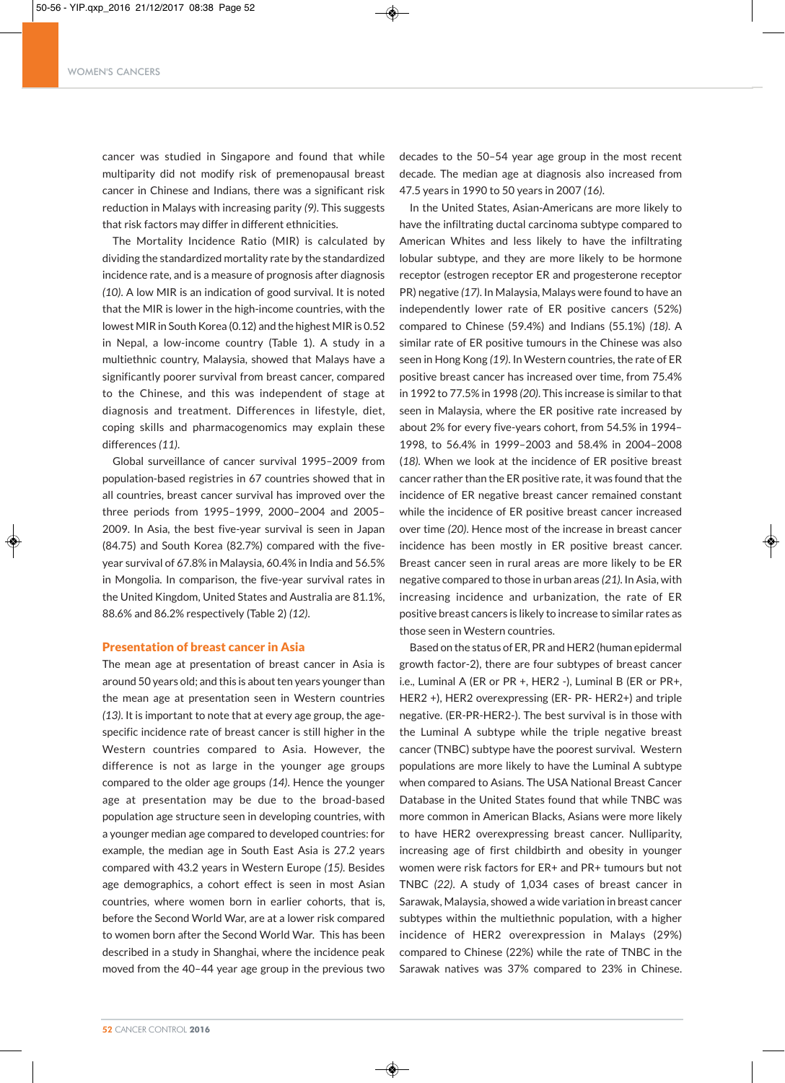### WOMEN'S CANCERS

cancer was studied in Singapore and found that while multiparity did not modify risk of premenopausal breast cancer in Chinese and Indians, there was a significant risk reduction in Malays with increasing parity *(9)*. This suggests that risk factors may differ in different ethnicities.

The Mortality Incidence Ratio (MIR) is calculated by dividing the standardized mortality rate by the standardized incidence rate, and is a measure of prognosis after diagnosis *(10)*. A low MIR is an indication of good survival. It is noted that the MIR is lower in the high-income countries, with the lowest MIR in South Korea (0.12) and the highest MIR is 0.52 in Nepal, a low-income country (Table 1). A study in a multiethnic country, Malaysia, showed that Malays have a significantly poorer survival from breast cancer, compared to the Chinese, and this was independent of stage at diagnosis and treatment. Differences in lifestyle, diet, coping skills and pharmacogenomics may explain these differences *(11)*.

Global surveillance of cancer survival 1995–2009 from population-based registries in 67 countries showed that in all countries, breast cancer survival has improved over the three periods from 1995–1999, 2000–2004 and 2005– 2009. In Asia, the best five-year survival is seen in Japan (84.75) and South Korea (82.7%) compared with the fiveyear survival of 67.8% in Malaysia, 60.4% in India and 56.5% in Mongolia. In comparison, the five-year survival rates in the United Kingdom, United States and Australia are 81.1%, 88.6% and 86.2% respectively (Table 2) *(12)*.

#### Presentation of breast cancer in Asia

The mean age at presentation of breast cancer in Asia is around 50 years old; and this is about ten years younger than the mean age at presentation seen in Western countries *(13)*. It is important to note that at every age group, the agespecific incidence rate of breast cancer is still higher in the Western countries compared to Asia. However, the difference is not as large in the younger age groups compared to the older age groups *(14)*. Hence the younger age at presentation may be due to the broad-based population age structure seen in developing countries, with a younger median age compared to developed countries: for example, the median age in South East Asia is 27.2 years compared with 43.2 years in Western Europe *(15)*. Besides age demographics, a cohort effect is seen in most Asian countries, where women born in earlier cohorts, that is, before the Second World War, are at a lower risk compared to women born after the Second World War. This has been described in a study in Shanghai, where the incidence peak moved from the 40–44 year age group in the previous two

◈

decades to the 50–54 year age group in the most recent decade. The median age at diagnosis also increased from 47.5 years in 1990 to 50 years in 2007 *(16)*.

In the United States, Asian-Americans are more likely to have the infiltrating ductal carcinoma subtype compared to American Whites and less likely to have the infiltrating lobular subtype, and they are more likely to be hormone receptor (estrogen receptor ER and progesterone receptor PR) negative *(17)*. In Malaysia, Malays were found to have an independently lower rate of ER positive cancers (52%) compared to Chinese (59.4%) and Indians (55.1%) *(18)*. A similar rate of ER positive tumours in the Chinese was also seen in Hong Kong *(19)*. In Western countries, the rate of ER positive breast cancer has increased over time, from 75.4% in 1992 to 77.5% in 1998 *(20)*. This increase is similar to that seen in Malaysia, where the ER positive rate increased by about 2% for every five-years cohort, from 54.5% in 1994– 1998, to 56.4% in 1999–2003 and 58.4% in 2004–2008 (*18).* When we look at the incidence of ER positive breast cancer rather than the ER positive rate, it was found that the incidence of ER negative breast cancer remained constant while the incidence of ER positive breast cancer increased over time *(20)*. Hence most of the increase in breast cancer incidence has been mostly in ER positive breast cancer. Breast cancer seen in rural areas are more likely to be ER negative compared to those in urban areas *(21)*. In Asia, with increasing incidence and urbanization, the rate of ER positive breast cancers is likely to increase to similar rates as those seen in Western countries.

Based on the status of ER, PR and HER2 (human epidermal growth factor-2), there are four subtypes of breast cancer i.e., Luminal A (ER or PR +, HER2 -), Luminal B (ER or PR+, HER2 +), HER2 overexpressing (ER- PR- HER2+) and triple negative. (ER-PR-HER2-). The best survival is in those with the Luminal A subtype while the triple negative breast cancer (TNBC) subtype have the poorest survival. Western populations are more likely to have the Luminal A subtype when compared to Asians. The USA National Breast Cancer Database in the United States found that while TNBC was more common in American Blacks, Asians were more likely to have HER2 overexpressing breast cancer. Nulliparity, increasing age of first childbirth and obesity in younger women were risk factors for ER+ and PR+ tumours but not TNBC *(22)*. A study of 1,034 cases of breast cancer in Sarawak, Malaysia, showed a wide variation in breast cancer subtypes within the multiethnic population, with a higher incidence of HER2 overexpression in Malays (29%) compared to Chinese (22%) while the rate of TNBC in the Sarawak natives was 37% compared to 23% in Chinese.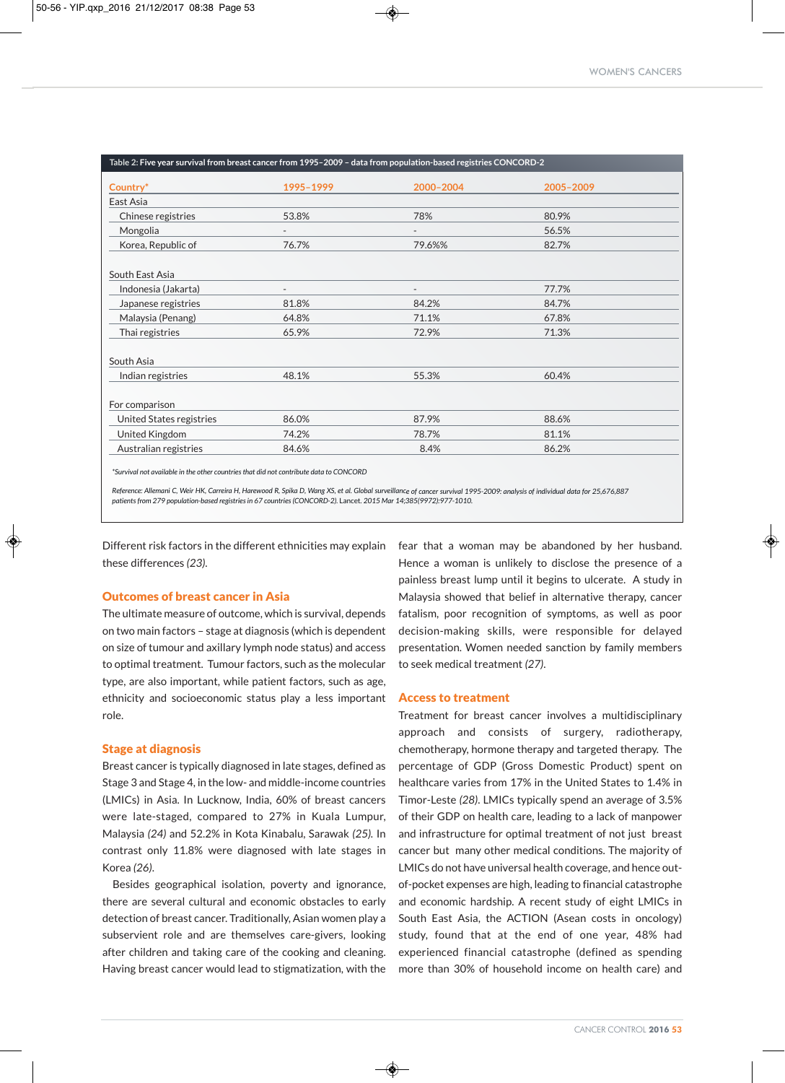| Country*                 | 1995-1999 | 2000-2004                | 2005-2009 |  |
|--------------------------|-----------|--------------------------|-----------|--|
| East Asia                |           |                          |           |  |
| Chinese registries       | 53.8%     | 78%                      | 80.9%     |  |
| Mongolia                 |           |                          | 56.5%     |  |
| Korea, Republic of       | 76.7%     | 79.6%%                   | 82.7%     |  |
| South East Asia          |           |                          |           |  |
| Indonesia (Jakarta)      |           | $\overline{\phantom{a}}$ | 77.7%     |  |
| Japanese registries      | 81.8%     | 84.2%                    | 84.7%     |  |
| Malaysia (Penang)        | 64.8%     | 71.1%                    | 67.8%     |  |
| Thai registries          | 65.9%     | 72.9%                    | 71.3%     |  |
| South Asia               |           |                          |           |  |
| Indian registries        | 48.1%     | 55.3%                    | 60.4%     |  |
| For comparison           |           |                          |           |  |
| United States registries | 86.0%     | 87.9%                    | 88.6%     |  |
| United Kingdom           | 74.2%     | 78.7%                    | 81.1%     |  |
| Australian registries    | 84.6%     | 8.4%                     | 86.2%     |  |

*\*Survival not available in the other countries that did not contribute data to CONCORD*

Reference: Allemani C, Weir HK, Carreira H, Harewood R, Spika D, Wang XS, et al. Global surveillance of cancer survival 1995-2009: analysis of individual data for 25,676,887 *patients from 279 population-based registries in 67 countries (CONCORD-2).* Lancet*. 2015 Mar 14;385(9972):977-1010.*

Different risk factors in the different ethnicities may explain these differences *(23)*.

## Outcomes of breast cancer in Asia

The ultimate measure of outcome, which is survival, depends on two main factors – stage at diagnosis (which is dependent on size of tumour and axillary lymph node status) and access to optimal treatment. Tumour factors, such as the molecular type, are also important, while patient factors, such as age, ethnicity and socioeconomic status play a less important role.

### Stage at diagnosis

Breast cancer is typically diagnosed in late stages, defined as Stage 3 and Stage 4, in the low- and middle-income countries (LMICs) in Asia. In Lucknow, India, 60% of breast cancers were late-staged, compared to 27% in Kuala Lumpur, Malaysia *(24)* and 52.2% in Kota Kinabalu, Sarawak *(25).* In contrast only 11.8% were diagnosed with late stages in Korea *(26)*.

Besides geographical isolation, poverty and ignorance, there are several cultural and economic obstacles to early detection of breast cancer. Traditionally, Asian women play a subservient role and are themselves care-givers, looking after children and taking care of the cooking and cleaning. Having breast cancer would lead to stigmatization, with the

fear that a woman may be abandoned by her husband. Hence a woman is unlikely to disclose the presence of a painless breast lump until it begins to ulcerate. A study in Malaysia showed that belief in alternative therapy, cancer fatalism, poor recognition of symptoms, as well as poor decision-making skills, were responsible for delayed presentation. Women needed sanction by family members to seek medical treatment *(27)*.

#### Access to treatment

Treatment for breast cancer involves a multidisciplinary approach and consists of surgery, radiotherapy, chemotherapy, hormone therapy and targeted therapy. The percentage of GDP (Gross Domestic Product) spent on healthcare varies from 17% in the United States to 1.4% in Timor-Leste *(28)*. LMICs typically spend an average of 3.5% of their GDP on health care, leading to a lack of manpower and infrastructure for optimal treatment of not just breast cancer but many other medical conditions. The majority of LMICs do not have universal health coverage, and hence outof-pocket expenses are high, leading to financial catastrophe and economic hardship. A recent study of eight LMICs in South East Asia, the ACTION (Asean costs in oncology) study, found that at the end of one year, 48% had experienced financial catastrophe (defined as spending more than 30% of household income on health care) and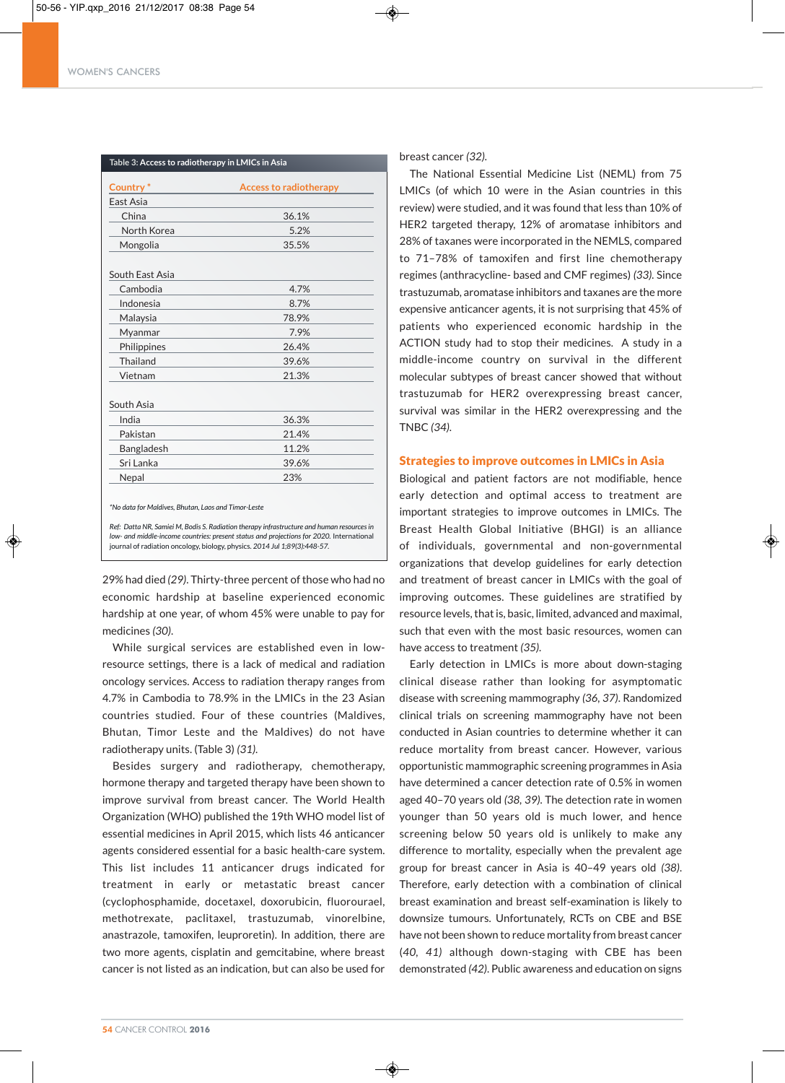| Country <sup>*</sup> | <b>Access to radiotherapy</b> |
|----------------------|-------------------------------|
| East Asia            |                               |
| China                | 36.1%                         |
| North Korea          | 5.2%                          |
| Mongolia             | 35.5%                         |
| South East Asia      |                               |
| Cambodia             | 4.7%                          |
| Indonesia            | 8.7%                          |
| Malaysia             | 78.9%                         |
| Myanmar              | 7.9%                          |
| Philippines          | 26.4%                         |
| Thailand             | 39.6%                         |
| Vietnam              | 21.3%                         |
| South Asia           |                               |
| India                | 36.3%                         |
| Pakistan             | 21.4%                         |
| Bangladesh           | 11.2%                         |
| Sri Lanka            | 39.6%                         |
| Nepal                | 23%                           |

*\*No data for Maldives, Bhutan, Laos and Timor-Leste*

*Ref: Datta NR, Samiei M, Bodis S. Radiation therapy infrastructure and human resources in low- and middle-income countries: present status and projections for 2020.* International journal of radiation oncology, biology, physics. *2014 Jul 1;89(3):448-57.*

29% had died (29). Thirty-three percent of those who had no economic hardship at baseline experienced economic hardship at one year, of whom 45% were unable to pay for medicines *(30)*.

While surgical services are established even in lowresource settings, there is a lack of medical and radiation oncology services. Access to radiation therapy ranges from 4.7% in Cambodia to 78.9% in the LMICs in the 23 Asian countries studied. Four of these countries (Maldives, Bhutan, Timor Leste and the Maldives) do not have radiotherapy units. (Table 3) *(31)*.

Besides surgery and radiotherapy, chemotherapy, hormone therapy and targeted therapy have been shown to improve survival from breast cancer. The World Health Organization (WHO) published the 19th WHO model list of essential medicines in April 2015, which lists 46 anticancer agents considered essential for a basic health-care system. This list includes 11 anticancer drugs indicated for treatment in early or metastatic breast cancer (cyclophosphamide, docetaxel, doxorubicin, fluorourael, methotrexate, paclitaxel, trastuzumab, vinorelbine, anastrazole, tamoxifen, leuproretin). In addition, there are two more agents, cisplatin and gemcitabine, where breast cancer is not listed as an indication, but can also be used for

◈

breast cancer *(32).*

The National Essential Medicine List (NEML) from 75 LMICs (of which 10 were in the Asian countries in this review) were studied, and it was found that less than 10% of HER2 targeted therapy, 12% of aromatase inhibitors and 28% of taxanes were incorporated in the NEMLS, compared to 71–78% of tamoxifen and first line chemotherapy regimes (anthracycline- based and CMF regimes) *(33).* Since trastuzumab, aromatase inhibitors and taxanes are the more expensive anticancer agents, it is not surprising that 45% of patients who experienced economic hardship in the ACTION study had to stop their medicines. A study in a middle-income country on survival in the different molecular subtypes of breast cancer showed that without trastuzumab for HER2 overexpressing breast cancer, survival was similar in the HER2 overexpressing and the TNBC *(34)*.

## Strategies to improve outcomes in LMICs in Asia

Biological and patient factors are not modifiable, hence early detection and optimal access to treatment are important strategies to improve outcomes in LMICs. The Breast Health Global Initiative (BHGI) is an alliance of individuals, governmental and non-governmental organizations that develop guidelines for early detection and treatment of breast cancer in LMICs with the goal of improving outcomes. These guidelines are stratified by resource levels, that is, basic, limited, advanced and maximal, such that even with the most basic resources, women can have access to treatment *(35)*.

Early detection in LMICs is more about down-staging clinical disease rather than looking for asymptomatic disease with screening mammography *(36, 37)*. Randomized clinical trials on screening mammography have not been conducted in Asian countries to determine whether it can reduce mortality from breast cancer. However, various opportunistic mammographic screening programmes in Asia have determined a cancer detection rate of 0.5% in women aged 40–70 years old *(38, 39)*. The detection rate in women younger than 50 years old is much lower, and hence screening below 50 years old is unlikely to make any difference to mortality, especially when the prevalent age group for breast cancer in Asia is 40–49 years old *(38)*. Therefore, early detection with a combination of clinical breast examination and breast self-examination is likely to downsize tumours. Unfortunately, RCTs on CBE and BSE have not been shown to reduce mortality from breast cancer (*40, 41)* although down-staging with CBE has been demonstrated *(42)*. Public awareness and education on signs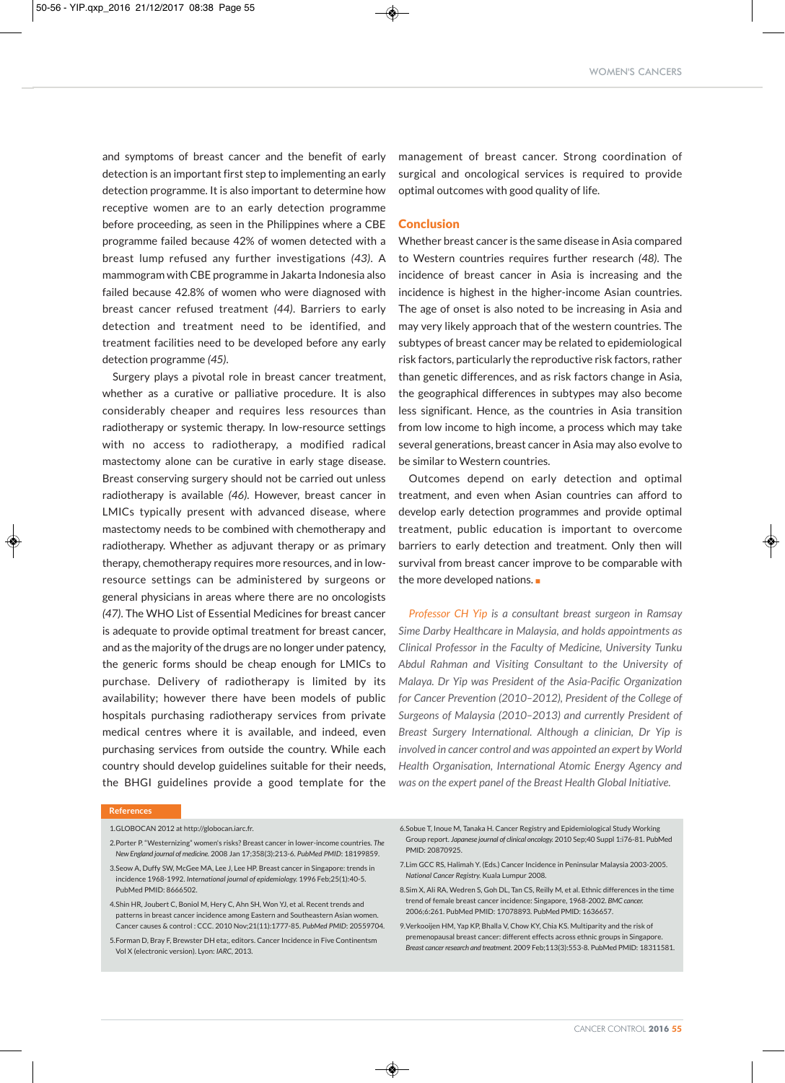and symptoms of breast cancer and the benefit of early detection is an important first step to implementing an early detection programme. It is also important to determine how receptive women are to an early detection programme before proceeding, as seen in the Philippines where a CBE programme failed because 42% of women detected with a breast lump refused any further investigations *(43)*. A mammogram with CBE programme in Jakarta Indonesia also failed because 42.8% of women who were diagnosed with breast cancer refused treatment *(44)*. Barriers to early detection and treatment need to be identified, and treatment facilities need to be developed before any early detection programme *(45)*.

Surgery plays a pivotal role in breast cancer treatment, whether as a curative or palliative procedure. It is also considerably cheaper and requires less resources than radiotherapy or systemic therapy. In low-resource settings with no access to radiotherapy, a modified radical mastectomy alone can be curative in early stage disease. Breast conserving surgery should not be carried out unless radiotherapy is available *(46)*. However, breast cancer in LMICs typically present with advanced disease, where mastectomy needs to be combined with chemotherapy and radiotherapy. Whether as adjuvant therapy or as primary therapy, chemotherapy requires more resources, and in lowresource settings can be administered by surgeons or general physicians in areas where there are no oncologists *(47)*. The WHO List of Essential Medicines for breast cancer is adequate to provide optimal treatment for breast cancer, and as the majority of the drugs are no longer under patency, the generic forms should be cheap enough for LMICs to purchase. Delivery of radiotherapy is limited by its availability; however there have been models of public hospitals purchasing radiotherapy services from private medical centres where it is available, and indeed, even purchasing services from outside the country. While each country should develop guidelines suitable for their needs, the BHGI guidelines provide a good template for the management of breast cancer. Strong coordination of surgical and oncological services is required to provide optimal outcomes with good quality of life.

## Conclusion

Whether breast cancer is the same disease in Asia compared to Western countries requires further research *(48)*. The incidence of breast cancer in Asia is increasing and the incidence is highest in the higher-income Asian countries. The age of onset is also noted to be increasing in Asia and may very likely approach that of the western countries. The subtypes of breast cancer may be related to epidemiological risk factors, particularly the reproductive risk factors, rather than genetic differences, and as risk factors change in Asia, the geographical differences in subtypes may also become less significant. Hence, as the countries in Asia transition from low income to high income, a process which may take several generations, breast cancer in Asia may also evolve to be similar to Western countries.

Outcomes depend on early detection and optimal treatment, and even when Asian countries can afford to develop early detection programmes and provide optimal treatment, public education is important to overcome barriers to early detection and treatment. Only then will survival from breast cancer improve to be comparable with the more developed nations. $\blacksquare$ 

*Professor CH Yip is a consultant breast surgeon in Ramsay Sime Darby Healthcare in Malaysia, and holds appointments as Clinical Professor in the Faculty of Medicine, University Tunku Abdul Rahman and Visiting Consultant to the University of Malaya. Dr Yip was President of the Asia-Pacific Organization for Cancer Prevention (2010–2012), President of the College of Surgeons of Malaysia (2010–2013) and currently President of Breast Surgery International. Although a clinician, Dr Yip is involved in cancer control and was appointed an expert by World Health Organisation, International Atomic Energy Agency and was on the expert panel of the Breast Health Global Initiative.*

#### **References**

1.GLOBOCAN 2012 at http://globocan.iarc.fr.

- 2.Porter P. "Westernizing" women's risks? Breast cancer in lower-income countries. *The New England journal of medicine.* 2008 Jan 17;358(3):213-6. *PubMed PMID*: 18199859.
- 3.Seow A, Duffy SW, McGee MA, Lee J, Lee HP. Breast cancer in Singapore: trends in incidence 1968-1992. *International journal of epidemiology.* 1996 Feb;25(1):40-5. PubMed PMID: 8666502.
- 4.Shin HR, Joubert C, Boniol M, Hery C, Ahn SH, Won YJ, et al. Recent trends and patterns in breast cancer incidence among Eastern and Southeastern Asian women. Cancer causes & control : CCC. 2010 Nov;21(11):1777-85. *PubMed PMID*: 20559704.
- 5.Forman D, Bray F, Brewster DH eta;, editors. Cancer Incidence in Five Continentsm Vol X (electronic version). Lyon: *IARC*, 2013.
- 6.Sobue T, Inoue M, Tanaka H. Cancer Registry and Epidemiological Study Working Group report. *Japanese journal of clinical oncology.* 2010 Sep;40 Suppl 1:i76-81. PubMed PMID: 20870925.
- 7.Lim GCC RS, Halimah Y. (Eds.) Cancer Incidence in Peninsular Malaysia 2003-2005. *National Cancer Registry.* Kuala Lumpur 2008.
- 8.Sim X, Ali RA, Wedren S, Goh DL, Tan CS, Reilly M, et al. Ethnic differences in the time trend of female breast cancer incidence: Singapore, 1968-2002. *BMC cancer.* 2006;6:261. PubMed PMID: 17078893. PubMed PMID: 1636657.
- 9.Verkooijen HM, Yap KP, Bhalla V, Chow KY, Chia KS. Multiparity and the risk of premenopausal breast cancer: different effects across ethnic groups in Singapore. *Breast cancerresearch and treatment.* 2009 Feb;113(3):553-8. PubMed PMID: 18311581.